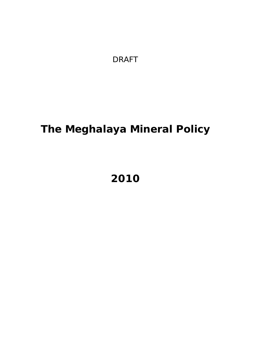*DRAFT* 

# **The Meghalaya Mineral Policy**

# **2010**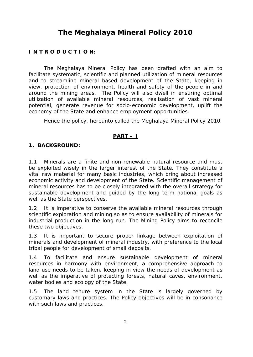# **The Meghalaya Mineral Policy 2010**

#### **I N T R O D U C T I O N:**

The Meghalaya Mineral Policy has been drafted with an aim to facilitate systematic, scientific and planned utilization of mineral resources and to streamline mineral based development of the State, keeping in view, protection of environment, health and safety of the people in and around the mining areas. The Policy will also dwell in ensuring optimal utilization of available mineral resources, realisation of vast mineral potential, generate revenue for socio-economic development, uplift the economy of the State and enhance employment opportunities.

Hence the policy, hereunto called the Meghalaya Mineral Policy 2010.

#### **PART – I**

#### **1. BACKGROUND:**

1.1 Minerals are a finite and non-renewable natural resource and must be exploited wisely in the larger interest of the State. They constitute a vital raw material for many basic industries, which bring about increased economic activity and development of the State. Scientific management of mineral resources has to be closely integrated with the overall strategy for sustainable development and guided by the long term national goals as well as the State perspectives.

1.2 It is imperative to conserve the available mineral resources through scientific exploration and mining so as to ensure availability of minerals for industrial production in the long run. The Mining Policy aims to reconcile these two objectives.

1.3 It is important to secure proper linkage between exploitation of minerals and development of mineral industry, with preference to the local tribal people for development of small deposits.

1.4 To facilitate and ensure sustainable development of mineral resources in harmony with environment, a comprehensive approach to land use needs to be taken, keeping in view the needs of development as well as the imperative of protecting forests, natural caves, environment, water bodies and ecology of the State.

1.5 The land tenure system in the State is largely governed by customary laws and practices. The Policy objectives will be in consonance with such laws and practices.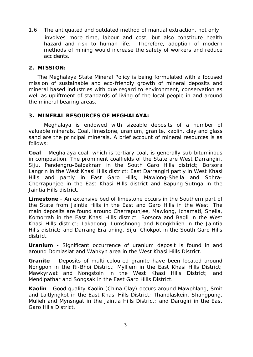1.6 The antiquated and outdated method of manual extraction, not only involves more time, labour and cost, but also constitute health hazard and risk to human life. Therefore, adoption of modern methods of mining would increase the safety of workers and reduce accidents.

#### **2. MISSION:**

The Meghalaya State Mineral Policy is being formulated with a focused mission of sustainable and eco-friendly growth of mineral deposits and mineral based industries with due regard to environment, conservation as well as upliftment of standards of living of the local people in and around the mineral bearing areas.

#### **3. MINERAL RESOURCES OF MEGHALAYA:**

Meghalaya is endowed with sizeable deposits of a number of valuable minerals. Coal, limestone, uranium, granite, kaolin, clay and glass sand are the principal minerals. A brief account of mineral resources is as follows:

**Coal** – Meghalaya coal, which is tertiary coal, is generally sub-bituminous in composition. The prominent coalfields of the State are West Darrangiri, Siju, Pendengru-Balpakram in the South Garo Hills district: Borsora Langrin in the West Khasi Hills district; East Darrangiri partly in West Khasi Hills and partly in East Garo Hills; Mawlong-Shella and Sohra-Cherrapunjee in the East Khasi Hills district and Bapung-Sutnga in the Jaintia Hills district.

**Limestone** - An extensive bed of limestone occurs in the Southern part of the State from Jaintia Hills in the East and Garo Hills in the West. The main deposits are found around Cherrapunjee, Mawlong, Ichamati, Shella, Komorrah in the East Khasi Hills district; Borsora and Bagli in the West Khasi Hills district; Lakadong, Lumshnong and Nongkhlieh in the Jaintia Hills district; and Darrang Era-aning, Siju, Chokpot in the South Garo Hills district.

**Uranium -** Significant occurrence of uranium deposit is found in and around Domiasiat and Wahkyn area in the West Khasi Hills District.

**Granite** – Deposits of multi-coloured granite have been located around Nongpoh in the Ri-Bhoi District; Mylliem in the East Khasi Hills District; Mawkyrwat and Nongstoin in the West Khasi Hills District; and Mendipathar and Songsak in the East Garo Hills District.

**Kaolin** - Good quality Kaolin (China Clay) occurs around Mawphlang, Smit and Laitlyngkot in the East Khasi Hills District; Thandlaskein, Shangpung, Mulieh and Mynsngat in the Jaintia Hills District; and Darugiri in the East Garo Hills District.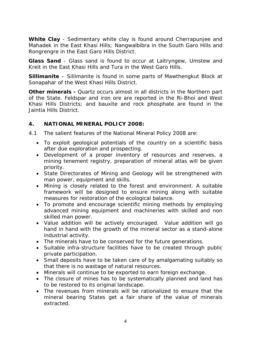**White Clay** - Sedimentary white clay is found around Cherrapunjee and Mahadek in the East Khasi Hills; Nangwalbibra in the South Garo Hills and Rongrengre in the East Garo Hills District.

**Glass Sand** - Glass sand is found to occur at Laitryngew, Umstew and Kreit in the East Khasi Hills and Tura in the West Garo Hills.

**Sillimanite** – Sillimanite is found in some parts of Mawthengkut Block at Sonapahar of the West Khasi Hills District.

**Other minerals -** Quartz occurs almost in all districts in the Northern part of the State. Feldspar and iron ore are reported in the Ri-Bhoi and West Khasi Hills Districts; and bauxite and rock phosphate are found in the Jaintia Hills District.

#### **4. NATIONAL MINERAL POLICY 2008:**

4.1 The salient features of the National Mineral Policy 2008 are:

- To exploit geological potentials of the country on a scientific basis after due exploration and prospecting.
- Development of a proper inventory of resources and reserves, a mining tenement registry, preparation of mineral atlas will be given priority.
- State Directorates of Mining and Geology will be strengthened with man power, equipment and skills.
- Mining is closely related to the forest and environment. A suitable framework will be designed to ensure mining along with suitable measures for restoration of the ecological balance.
- To promote and encourage scientific mining methods by employing advanced mining equipment and machineries with skilled and non skilled man power.
- Value addition will be actively encouraged. Value addition will go hand in hand with the growth of the mineral sector as a stand-alone industrial activity.
- The minerals have to be conserved for the future generations.
- Suitable infra-structure facilities have to be created through public private participation.
- Small deposits have to be taken care of by amalgamating suitably so that there is no wastage of natural resources.
- Minerals will continue to be exported to earn foreign exchange.
- The closure of mines has to be systematically planned and land has to be restored to its original landscape.
- The revenues from minerals will be rationalized to ensure that the mineral bearing States get a fair share of the value of minerals extracted.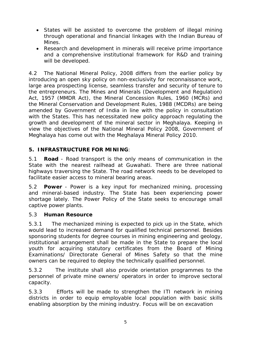- States will be assisted to overcome the problem of illegal mining through operational and financial linkages with the Indian Bureau of Mines.
- Research and development in minerals will receive prime importance and a comprehensive institutional framework for R&D and training will be developed.

4.2 The National Mineral Policy, 2008 differs from the earlier policy by introducing an open sky policy on non-exclusivity for reconnaissance work, large area prospecting license, seamless transfer and security of tenure to the entrepreneurs. The Mines and Minerals (Development and Regulation) Act, 1957 (MMDR Act), the Mineral Concession Rules, 1960 (MCRs) and the Mineral Conservation and Development Rules, 1988 (MCDRs) are being amended by Government of India in line with the policy in consultation with the States. This has necessitated new policy approach regulating the growth and development of the mineral sector in Meghalaya. Keeping in view the objectives of the National Mineral Policy 2008, Government of Meghalaya has come out with the Meghalaya Mineral Policy 2010.

# **5. INFRASTRUCTURE FOR MINING**:

5.1 **Road** - Road transport is the only means of communication in the State with the nearest railhead at Guwahati. There are three national highways traversing the State. The road network needs to be developed to facilitate easier access to mineral bearing areas.

5.2 **Power** - Power is a key input for mechanized mining, processing and mineral-based industry. The State has been experiencing power shortage lately. The Power Policy of the State seeks to encourage small captive power plants.

### 5.3 **Human Resource**

5.3.1 The mechanized mining is expected to pick up in the State, which would lead to increased demand for qualified technical personnel. Besides sponsoring students for degree courses in mining engineering and geology, institutional arrangement shall be made in the State to prepare the local youth for acquiring statutory certificates from the Board of Mining Examinations/ Directorate General of Mines Safety so that the mine owners can be required to deploy the technically qualified personnel.

5.3.2 The institute shall also provide orientation programmes to the personnel of private mine owners/ operators in order to improve sectoral capacity.

5.3.3 Efforts will be made to strengthen the ITI network in mining districts in order to equip employable local population with basic skills enabling absorption by the mining industry. Focus will be on excavation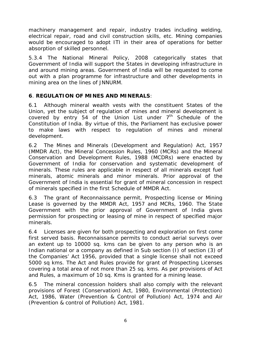machinery management and repair, industry trades including welding, electrical repair, road and civil construction skills, etc. Mining companies would be encouraged to adopt ITI in their area of operations for better absorption of skilled personnel.

5.3.4 The National Mineral Policy, 2008 categorically states that Government of India will support the States in developing infrastructure in and around mining areas. Government of India will be requested to come out with a plan programme for infrastructure and other developments in mining area on the lines of JNNURM.

# **6**. **REGULATION OF MINES AND MINERALS**:

6.1 Although mineral wealth vests with the constituent States of the Union, yet the subject of regulation of mines and mineral development is covered by entry 54 of the Union List under  $7<sup>th</sup>$  Schedule of the Constitution of India. By virtue of this, the Parliament has exclusive power to make laws with respect to regulation of mines and mineral development.

6.2 The Mines and Minerals (Development and Regulation) Act, 1957 (MMDR Act), the Mineral Concession Rules, 1960 (MCRs) and the Mineral Conservation and Development Rules, 1988 (MCDRs) were enacted by Government of India for conservation and systematic development of minerals. These rules are applicable in respect of all minerals except fuel minerals, atomic minerals and minor minerals. Prior approval of the Government of India is essential for grant of mineral concession in respect of minerals specified in the first Schedule of MMDR Act.

6.3 The grant of Reconnaissance permit, Prospecting license or Mining Lease is governed by the MMDR Act, 1957 and MCRs, 1960. The State Government with the prior approval of Government of India gives permission for prospecting or leasing of mine in respect of specified major minerals.

6.4 Licenses are given for both prospecting and exploration on first come first served basis. Reconnaissance permits to conduct aerial surveys over an extent up to 10000 sq. kms can be given to any person who is an Indian national or a company as defined in Sub section (I) of section (3) of the Companies' Act 1956, provided that a single license shall not exceed 5000 sq kms. The Act and Rules provide for grant of Prospecting Licenses covering a total area of not more than 25 sq. kms. As per provisions of Act and Rules, a maximum of 10 sq. Kms is granted for a mining lease.

6.5 The mineral concession holders shall also comply with the relevant provisions of Forest (Conservation) Act, 1980, Environmental (Protection) Act, 1986, Water (Prevention & Control of Pollution) Act, 1974 and Air (Prevention & control of Pollution) Act, 1981.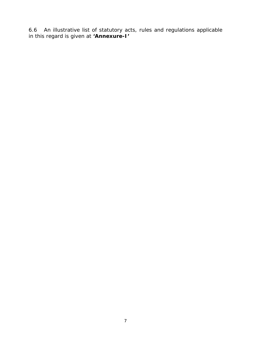6.6 An illustrative list of statutory acts, rules and regulations applicable in this regard is given at **'***Annexure-I***'**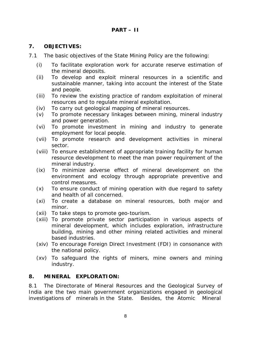#### **7. OBJECTIVES:**

- 7.1 The basic objectives of the State Mining Policy are the following:
	- (i) To facilitate exploration work for accurate reserve estimation of the mineral deposits.
	- (ii) To develop and exploit mineral resources in a scientific and sustainable manner, taking into account the interest of the State and people.
	- (iii) To review the existing practice of random exploitation of mineral resources and to regulate mineral exploitation.
	- (iv) To carry out geological mapping of mineral resources.
	- (v) To promote necessary linkages between mining, mineral industry and power generation.
	- (vi) To promote investment in mining and industry to generate employment for local people.
	- (vii) To promote research and development activities in mineral sector.
	- (viii) To ensure establishment of appropriate training facility for human resource development to meet the man power requirement of the mineral industry.
	- (ix) To minimize adverse effect of mineral development on the environment and ecology through appropriate preventive and control measures.
	- $(x)$  To ensure conduct of mining operation with due regard to safety and health of all concerned.
	- (xi) To create a database on mineral resources, both major and minor.
	- (xii) To take steps to promote geo-tourism.
	- (xiii) To promote private sector participation in various aspects of mineral development, which includes exploration, infrastructure building, mining and other mining related activities and mineral based industries.
	- (xiv) To encourage Foreign Direct Investment (FDI) in consonance with the national policy.
	- (xv) To safeguard the rights of miners, mine owners and mining industry.

#### **8. MINERAL EXPLORATION:**

8.1 The Directorate of Mineral Resources and the Geological Survey of India are the two main government organizations engaged in geological investigations of minerals in the State. Besides, the Atomic Mineral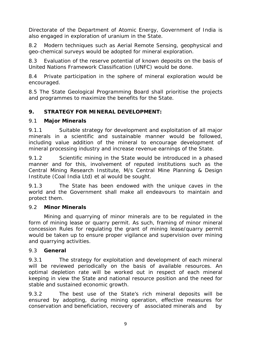Directorate of the Department of Atomic Energy, Government of India is also engaged in exploration of uranium in the State.

8.2 Modern techniques such as Aerial Remote Sensing, geophysical and geo-chemical surveys would be adopted for mineral exploration.

8.3 Evaluation of the reserve potential of known deposits on the basis of United Nations Framework Classification (UNFC) would be done.

8.4 Private participation in the sphere of mineral exploration would be encouraged.

8.5 The State Geological Programming Board shall prioritise the projects and programmes to maximize the benefits for the State.

# **9. STRATEGY FOR MINERAL DEVELOPMENT:**

### 9.1 **Major Minerals**

9.1.1 Suitable strategy for development and exploitation of all major minerals in a scientific and sustainable manner would be followed, including value addition of the mineral to encourage development of mineral processing industry and increase revenue earnings of the State.

9.1.2 Scientific mining in the State would be introduced in a phased manner and for this, involvement of reputed institutions such as the Central Mining Research Institute, M/s Central Mine Planning & Design Institute (Coal India Ltd) *et al* would be sought.

9.1.3 The State has been endowed with the unique caves in the world and the Government shall make all endeavours to maintain and protect them.

### 9.2 **Minor Minerals**

Mining and quarrying of minor minerals are to be regulated in the form of mining lease or quarry permit. As such, framing of minor mineral concession Rules for regulating the grant of mining lease/quarry permit would be taken up to ensure proper vigilance and supervision over mining and quarrying activities.

### 9.3 **General**

9.3.1 The strategy for exploitation and development of each mineral will be reviewed periodically on the basis of available resources. An optimal depletion rate will be worked out in respect of each mineral keeping in view the State and national resource position and the need for stable and sustained economic growth.

9.3.2 The best use of the State's rich mineral deposits will be ensured by adopting, during mining operation, effective measures for conservation and beneficiation, recovery of associated minerals and by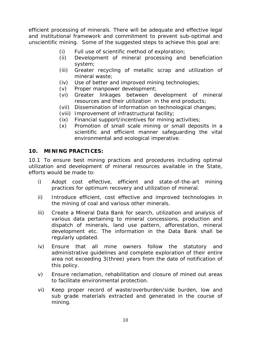efficient processing of minerals. There will be adequate and effective legal and institutional framework and commitment to prevent sub-optimal and unscientific mining. Some of the suggested steps to achieve this goal are:

- $(i)$  Full use of scientific method of exploration;
- (ii) Development of mineral processing and beneficiation system;
- (iii) Greater recycling of metallic scrap and utilization of mineral waste;
- (iv) Use of better and improved mining technologies;
- (v) Proper manpower development;
- (vi) Greater linkages between development of mineral resources and their utilization in the end products;
- (vii) Dissemination of information on technological changes;
- (viii) Improvement of infrastructural facility;
- (ix) Financial support/incentives for mining activities;
- (x) Promotion of small scale mining or small deposits in a scientific and efficient manner safeguarding the vital environmental and ecological imperative.

#### **10. MINING PRACTICES:**

10.1 To ensure best mining practices and procedures including optimal utilization and development of mineral resources available in the State, efforts would be made to:

- i) Adopt cost effective, efficient and state-of-the-art mining practices for optimum recovery and utilization of mineral.
- ii) Introduce efficient, cost effective and improved technologies in the mining of coal and various other minerals.
- iii) Create a Mineral Data Bank for search, utilization and analysis of various data pertaining to mineral concessions, production and dispatch of minerals, land use pattern, afforestation, mineral development etc. The information in the Data Bank shall be regularly updated.
- iv) Ensure that all mine owners follow the statutory and administrative guidelines and complete exploration of their entire area not exceeding 3(three) years from the date of notification of this policy.
- v) Ensure reclamation, rehabilitation and closure of mined out areas to facilitate environmental protection.
- vi) Keep proper record of waste/overburden/side burden, low and sub grade materials extracted and generated in the course of mining.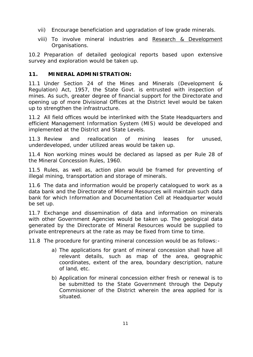- vii) Encourage beneficiation and upgradation of low grade minerals.
- viii) To involve mineral industries and Research & Development Organisations.

10.2 Preparation of detailed geological reports based upon extensive survey and exploration would be taken up.

### **11. MINERAL ADMINISTRATION:**

11.1 Under Section 24 of the Mines and Minerals (Development & Regulation) Act, 1957, the State Govt. is entrusted with inspection of mines. As such, greater degree of financial support for the Directorate and opening up of more Divisional Offices at the District level would be taken up to strengthen the infrastructure.

11.2 All field offices would be interlinked with the State Headquarters and efficient Management Information System (MIS) would be developed and implemented at the District and State Levels.

11.3 Review and reallocation of mining leases for unused, underdeveloped, under utilized areas would be taken up.

11.4 Non working mines would be declared as lapsed as per Rule 28 of the Mineral Concession Rules, 1960.

11.5 Rules, as well as, action plan would be framed for preventing of illegal mining, transportation and storage of minerals.

11.6 The data and information would be properly catalogued to work as a data bank and the Directorate of Mineral Resources will maintain such data bank for which Information and Documentation Cell at Headquarter would be set up.

11.7 Exchange and dissemination of data and information on minerals with other Government Agencies would be taken up. The geological data generated by the Directorate of Mineral Resources would be supplied to private entrepreneurs at the rate as may be fixed from time to time.

11.8 The procedure for granting mineral concession would be as follows:-

- a) The applications for grant of mineral concession shall have all relevant details, such as map of the area, geographic coordinates, extent of the area, boundary description, nature of land, etc.
- b) Application for mineral concession either fresh or renewal is to be submitted to the State Government through the Deputy Commissioner of the District wherein the area applied for is situated.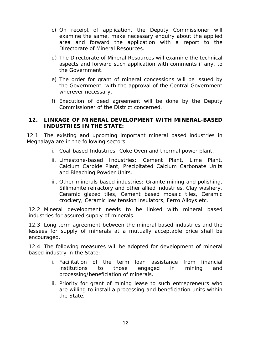- c) On receipt of application, the Deputy Commissioner will examine the same, make necessary enquiry about the applied area and forward the application with a report to the Directorate of Mineral Resources.
- d) The Directorate of Mineral Resources will examine the technical aspects and forward such application with comments if any, to the Government.
- e) The order for grant of mineral concessions will be issued by the Government, with the approval of the Central Government wherever necessary.
- f) Execution of deed agreement will be done by the Deputy Commissioner of the District concerned.

#### **12. LINKAGE OF MINERAL DEVELOPMENT WITH MINERAL-BASED INDUSTRIES IN THE STATE:**

12.1 The existing and upcoming important mineral based industries in Meghalaya are in the following sectors:

- i. Coal-based Industries: Coke Oven and thermal power plant.
- ii. Limestone-based Industries: Cement Plant, Lime Plant, Calcium Carbide Plant, Precipitated Calcium Carbonate Units and Bleaching Powder Units.
- iii. Other minerals based industries: Granite mining and polishing, Sillimanite refractory and other allied industries, Clay washery, Ceramic glazed tiles, Cement based mosaic tiles, Ceramic crockery, Ceramic low tension insulators, Ferro Alloys etc.

12.2 Mineral development needs to be linked with mineral based industries for assured supply of minerals.

12.3 Long term agreement between the mineral based industries and the lessees for supply of minerals at a mutually acceptable price shall be encouraged.

12.4 The following measures will be adopted for development of mineral based industry in the State:

- i. Facilitation of the term loan assistance from financial institutions to those engaged in mining and processing/beneficiation of minerals.
- ii. Priority for grant of mining lease to such entrepreneurs who are willing to install a processing and beneficiation units within the State.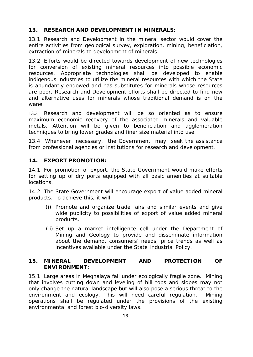# **13. RESEARCH AND DEVELOPMENT IN MINERALS:**

13.1 Research and Development in the mineral sector would cover the entire activities from geological survey, exploration, mining, beneficiation, extraction of minerals to development of minerals.

13.2 Efforts would be directed towards development of new technologies for conversion of existing mineral resources into possible economic resources. Appropriate technologies shall be developed to enable indigenous industries to utilize the mineral resources with which the State is abundantly endowed and has substitutes for minerals whose resources are poor. Research and Development efforts shall be directed to find new and alternative uses for minerals whose traditional demand is on the wane.

13.3 Research and development will be so oriented as to ensure maximum economic recovery of the associated minerals and valuable metals. Attention will be given to beneficiation and agglomeration techniques to bring lower grades and finer size material into use.

13.4 Whenever necessary, the Government may seek the assistance from professional agencies or institutions for research and development.

### **14. EXPORT PROMOTION:**

14.1 For promotion of export, the State Government would make efforts for setting up of dry ports equipped with all basic amenities at suitable locations.

14.2 The State Government will encourage export of value added mineral products. To achieve this, it will:

- (i) Promote and organize trade fairs and similar events and give wide publicity to possibilities of export of value added mineral products.
- (ii) Set up a market intelligence cell under the Department of Mining and Geology to provide and disseminate information about the demand, consumers' needs, price trends as well as incentives available under the State Industrial Policy.

### **15. MINERAL DEVELOPMENT AND PROTECTION OF ENVIRONMENT:**

15.1 Large areas in Meghalaya fall under ecologically fragile zone. Mining that involves cutting down and leveling of hill tops and slopes may not only change the natural landscape but will also pose a serious threat to the environment and ecology. This will need careful regulation. Mining operations shall be regulated under the provisions of the existing environmental and forest bio-diversity laws.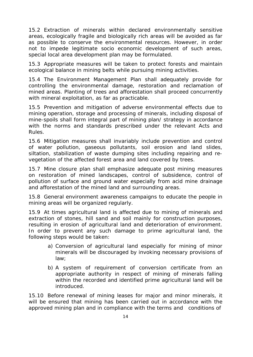15.2 Extraction of minerals within declared environmentally sensitive areas, ecologically fragile and biologically rich areas will be avoided as far as possible to conserve the environmental resources. However, in order not to impede legitimate socio economic development of such areas, special local area development plan may be formulated.

15.3 Appropriate measures will be taken to protect forests and maintain ecological balance in mining belts while pursuing mining activities.

15.4 The Environment Management Plan shall adequately provide for controlling the environmental damage, restoration and reclamation of mined areas. Planting of trees and afforestation shall proceed concurrently with mineral exploitation, as far as practicable.

15.5 Prevention and mitigation of adverse environmental effects due to mining operation, storage and processing of minerals, including disposal of mine-spoils shall form integral part of mining plan/ strategy in accordance with the norms and standards prescribed under the relevant Acts and Rules.

15.6 Mitigation measures shall invariably include prevention and control of water pollution, gaseous pollutants, soil erosion and land slides, siltation, stabilization of waste dumping sites including repairing and revegetation of the affected forest area and land covered by trees.

15.7 Mine closure plan shall emphasize adequate post mining measures on restoration of mined landscapes, control of subsidence, control of pollution of surface and ground water especially from acid mine drainage and afforestation of the mined land and surrounding areas.

15.8 General environment awareness campaigns to educate the people in mining areas will be organized regularly.

15.9 At times agricultural land is affected due to mining of minerals and extraction of stones, hill sand and soil mainly for construction purposes, resulting in erosion of agricultural land and deterioration of environment. In order to prevent any such damage to prime agricultural land, the following steps would be taken:

- a) Conversion of agricultural land especially for mining of minor minerals will be discouraged by invoking necessary provisions of law;
- b) A system of requirement of conversion certificate from an appropriate authority in respect of mining of minerals falling within the recorded and identified prime agricultural land will be introduced.

15.10 Before renewal of mining leases for major and minor minerals, it will be ensured that mining has been carried out in accordance with the approved mining plan and in compliance with the terms and conditions of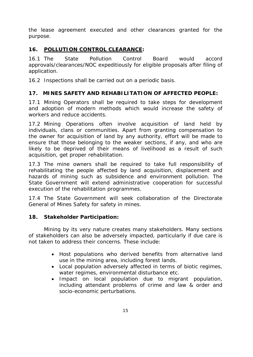the lease agreement executed and other clearances granted for the purpose.

# **16. POLLUTION CONTROL CLEARANCE:**

16.1 The State Pollution Control Board would accord approvals/clearances/NOC expeditiously for eligible proposals after filing of application.

16.2 Inspections shall be carried out on a periodic basis.

### **17. MINES SAFETY AND REHABILITATION OF AFFECTED PEOPLE:**

17.1 Mining Operators shall be required to take steps for development and adoption of modern methods which would increase the safety of workers and reduce accidents.

17.2 Mining Operations often involve acquisition of land held by individuals, clans or communities. Apart from granting compensation to the owner for acquisition of land by any authority, effort will be made to ensure that those belonging to the weaker sections, if any, and who are likely to be deprived of their means of livelihood as a result of such acquisition, get proper rehabilitation.

17.3 The mine owners shall be required to take full responsibility of rehabilitating the people affected by land acquisition, displacement and hazards of mining such as subsidence and environment pollution. The State Government will extend administrative cooperation for successful execution of the rehabilitation programmes.

17.4 The State Government will seek collaboration of the Directorate General of Mines Safety for safety in mines.

### **18. Stakeholder Participation:**

Mining by its very nature creates many stakeholders. Many sections of stakeholders can also be adversely impacted, particularly if due care is not taken to address their concerns. These include:

- Host populations who derived benefits from alternative land use in the mining area, including forest lands.
- Local population adversely affected in terms of biotic regimes, water regimes, environmental disturbance etc.
- • Impact on local population due to migrant population, including attendant problems of crime and law & order and socio-economic perturbations.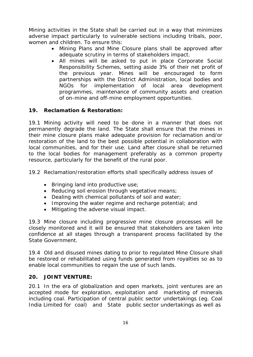Mining activities in the State shall be carried out in a way that minimizes adverse impact particularly to vulnerable sections including tribals, poor, women and children. To ensure this:

- Mining Plans and Mine Closure plans shall be approved after adequate scrutiny in terms of stakeholders impact.
- All mines will be asked to put in place Corporate Social Responsibility Schemes, setting aside 3% of their net profit of the previous year. Mines will be encouraged to form partnerships with the District Administration, local bodies and NGOs for implementation of local area development programmes, maintenance of community assets and creation of on-mine and off-mine employment opportunities.

# **19. Reclamation & Restoration:**

19.1 Mining activity will need to be done in a manner that does not permanently degrade the land. The State shall ensure that the mines in their mine closure plans make adequate provision for reclamation and/or restoration of the land to the best possible potential in collaboration with local communities, and for their use. Land after closure shall be returned to the local bodies for management preferably as a common property resource, particularly for the benefit of the rural poor.

19.2 Reclamation/restoration efforts shall specifically address issues of

- Bringing land into productive use;
- Reducing soil erosion through vegetative means;
- Dealing with chemical pollutants of soil and water;
- Improving the water regime and recharge potential; and
- Mitigating the adverse visual impact.

19.3 Mine closure including progressive mine closure processes will be closely monitored and it will be ensured that stakeholders are taken into confidence at all stages through a transparent process facilitated by the State Government.

19.4 Old and disused mines dating to prior to regulated Mine Closure shall be restored or rehabilitated using funds generated from royalties so as to enable local communities to regain the use of such lands.

### **20. JOINT VENTURE:**

 India Limited for coal) and State public sector undertakings as well as 20.1 In the era of globalization and open markets, joint ventures are an accepted mode for exploration, exploitation and marketing of minerals including coal. Participation of central public sector undertakings (eg. Coal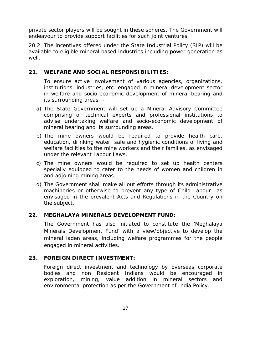private sector players will be sought in these spheres. The Government will endeavour to provide support facilities for such joint ventures.

20.2 The incentives offered under the State Industrial Policy (SIP) will be available to eligible mineral based industries including power generation as well.

### **21. WELFARE AND SOCIAL RESPONSIBILITIES:**

To ensure active involvement of various agencies, organizations, institutions, industries, etc. engaged in mineral development sector in welfare and socio-economic development of mineral bearing and its surrounding areas :-

- a) The State Government will set up a Mineral Advisory Committee comprising of technical experts and professional institutions to advise undertaking welfare and socio-economic development of mineral bearing and its surrounding areas.
- b) The mine owners would be required to provide health care, education, drinking water, safe and hygienic conditions of living and welfare facilities to the mine workers and their families, as envisaged under the relevant Labour Laws.
- c) The mine owners would be required to set up health centers specially equipped to cater to the needs of women and children in and adjoining mining areas.
- d) The Government shall make all out efforts through its administrative machineries or otherwise to prevent any type of Child Labour as envisaged in the prevalent Acts and Regulations in the Country on the subject.

#### **22. MEGHALAYA MINERALS DEVELOPMENT FUND:**

The Government has also initiated to constitute the 'Meghalaya Minerals Development Fund' with a view/objective to develop the mineral laden areas, including welfare programmes for the people engaged in mineral activities.

### **23. FOREIGN DIRECT INVESTMENT:**

Foreign direct investment and technology by overseas corporate bodies and non Resident Indians would be encouraged in exploration, mining, value addition in mineral sectors and environmental protection as per the Government of India Policy.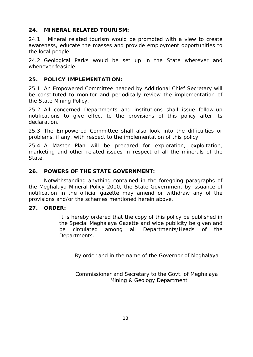### **24. MINERAL RELATED TOURISM:**

24.1 Mineral related tourism would be promoted with a view to create awareness, educate the masses and provide employment opportunities to the local people.

24.2 Geological Parks would be set up in the State wherever and whenever feasible.

# **25. POLICY IMPLEMENTATION:**

25.1 An Empowered Committee headed by Additional Chief Secretary will be constituted to monitor and periodically review the implementation of the State Mining Policy.

25.2 All concerned Departments and institutions shall issue follow-up notifications to give effect to the provisions of this policy after its declaration.

25.3 The Empowered Committee shall also look into the difficulties or problems, if any, with respect to the implementation of this policy.

25.4 A Master Plan will be prepared for exploration, exploitation, marketing and other related issues in respect of all the minerals of the State.

# **26. POWERS OF THE STATE GOVERNMENT:**

Notwithstanding anything contained in the foregoing paragraphs of the Meghalaya Mineral Policy 2010, the State Government by issuance of notification in the official gazette may amend or withdraw any of the provisions and/or the schemes mentioned herein above.

### **27. ORDER:**

It is hereby ordered that the copy of this policy be published in the Special Meghalaya Gazette and wide publicity be given and be circulated among all Departments/Heads of the Departments.

By order and in the name of the Governor of Meghalaya

Commissioner and Secretary to the Govt. of Meghalaya Mining & Geology Department